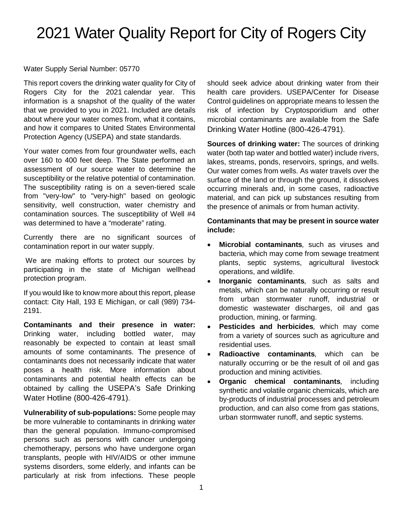# 2021 Water Quality Report for City of Rogers City

#### Water Supply Serial Number: 05770

This report covers the drinking water quality for City of Rogers City for the 2021 calendar year. This information is a snapshot of the quality of the water that we provided to you in 2021. Included are details about where your water comes from, what it contains, and how it compares to United States Environmental Protection Agency (USEPA) and state standards.

Your water comes from four groundwater wells, each over 160 to 400 feet deep. The State performed an assessment of our source water to determine the susceptibility or the relative potential of contamination. The susceptibility rating is on a seven-tiered scale from "very-low" to "very-high" based on geologic sensitivity, well construction, water chemistry and contamination sources. The susceptibility of Well #4 was determined to have a "moderate" rating.

Currently there are no significant sources of contamination report in our water supply.

We are making efforts to protect our sources by participating in the state of Michigan wellhead protection program.

If you would like to know more about this report, please contact: City Hall, 193 E Michigan, or call (989) 734- 2191.

**Contaminants and their presence in water:**  Drinking water, including bottled water, may reasonably be expected to contain at least small amounts of some contaminants. The presence of contaminants does not necessarily indicate that water poses a health risk. More information about contaminants and potential health effects can be obtained by calling the USEPA's Safe Drinking Water Hotline (800-426-4791).

**Vulnerability of sub-populations:** Some people may be more vulnerable to contaminants in drinking water than the general population. Immuno-compromised persons such as persons with cancer undergoing chemotherapy, persons who have undergone organ transplants, people with HIV/AIDS or other immune systems disorders, some elderly, and infants can be particularly at risk from infections. These people

should seek advice about drinking water from their health care providers. USEPA/Center for Disease Control guidelines on appropriate means to lessen the risk of infection by Cryptosporidium and other microbial contaminants are available from the Safe Drinking Water Hotline (800-426-4791).

**Sources of drinking water:** The sources of drinking water (both tap water and bottled water) include rivers, lakes, streams, ponds, reservoirs, springs, and wells. Our water comes from wells. As water travels over the surface of the land or through the ground, it dissolves occurring minerals and, in some cases, radioactive material, and can pick up substances resulting from the presence of animals or from human activity.

#### **Contaminants that may be present in source water include:**

- **Microbial contaminants***,* such as viruses and bacteria, which may come from sewage treatment plants, septic systems, agricultural livestock operations, and wildlife.
- **Inorganic contaminants***,* such as salts and metals, which can be naturally occurring or result from urban stormwater runoff, industrial or domestic wastewater discharges, oil and gas production, mining, or farming.
- **Pesticides and herbicides***,* which may come from a variety of sources such as agriculture and residential uses.
- **Radioactive contaminants***,* which can be naturally occurring or be the result of oil and gas production and mining activities.
- **Organic chemical contaminants***,* including synthetic and volatile organic chemicals, which are by-products of industrial processes and petroleum production, and can also come from gas stations, urban stormwater runoff, and septic systems.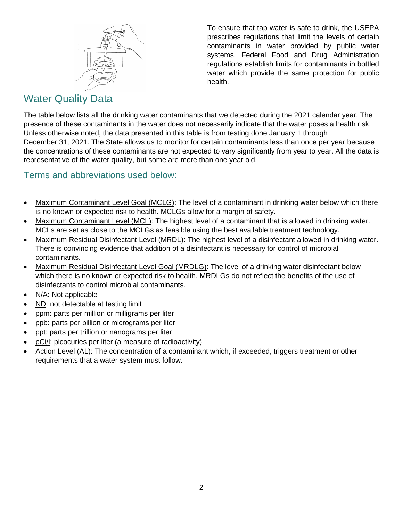

To ensure that tap water is safe to drink, the USEPA prescribes regulations that limit the levels of certain contaminants in water provided by public water systems. Federal Food and Drug Administration regulations establish limits for contaminants in bottled water which provide the same protection for public health.

## Water Quality Data

The table below lists all the drinking water contaminants that we detected during the 2021 calendar year. The presence of these contaminants in the water does not necessarily indicate that the water poses a health risk. Unless otherwise noted, the data presented in this table is from testing done January 1 through December 31, 2021. The State allows us to monitor for certain contaminants less than once per year because the concentrations of these contaminants are not expected to vary significantly from year to year. All the data is representative of the water quality, but some are more than one year old.

### Terms and abbreviations used below:

- Maximum Contaminant Level Goal (MCLG): The level of a contaminant in drinking water below which there is no known or expected risk to health. MCLGs allow for a margin of safety.
- Maximum Contaminant Level (MCL): The highest level of a contaminant that is allowed in drinking water. MCLs are set as close to the MCLGs as feasible using the best available treatment technology.
- Maximum Residual Disinfectant Level (MRDL): The highest level of a disinfectant allowed in drinking water. There is convincing evidence that addition of a disinfectant is necessary for control of microbial contaminants.
- Maximum Residual Disinfectant Level Goal (MRDLG): The level of a drinking water disinfectant below which there is no known or expected risk to health. MRDLGs do not reflect the benefits of the use of disinfectants to control microbial contaminants.
- N/A: Not applicable
- ND: not detectable at testing limit
- ppm: parts per million or milligrams per liter
- ppb: parts per billion or micrograms per liter
- ppt: parts per trillion or nanograms per liter
- pCi/l: picocuries per liter (a measure of radioactivity)
- Action Level (AL): The concentration of a contaminant which, if exceeded, triggers treatment or other requirements that a water system must follow.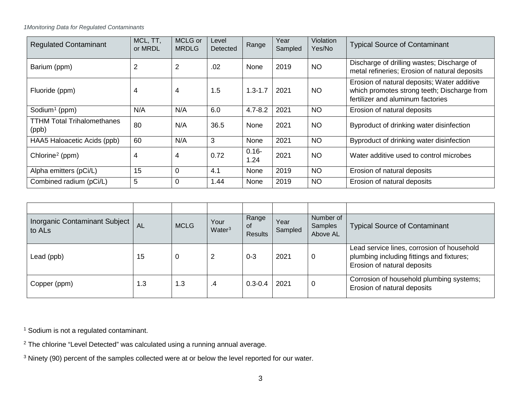<span id="page-2-2"></span><span id="page-2-1"></span><span id="page-2-0"></span>*1Monitoring Data for Regulated Contaminants*

| <b>Regulated Contaminant</b>               | MCL, TT,<br>or MRDL | MCLG or<br><b>MRDLG</b> | Level<br>Detected | Range            | Year<br>Sampled | <b>Violation</b><br>Yes/No | <b>Typical Source of Contaminant</b>                                                                                            |
|--------------------------------------------|---------------------|-------------------------|-------------------|------------------|-----------------|----------------------------|---------------------------------------------------------------------------------------------------------------------------------|
| Barium (ppm)                               | 2                   | $\overline{2}$          | .02               | <b>None</b>      | 2019            | <b>NO</b>                  | Discharge of drilling wastes; Discharge of<br>metal refineries; Erosion of natural deposits                                     |
| Fluoride (ppm)                             | 4                   | 4                       | 1.5               | $1.3 - 1.7$      | 2021            | <b>NO</b>                  | Erosion of natural deposits; Water additive<br>which promotes strong teeth; Discharge from<br>fertilizer and aluminum factories |
| Sodium <sup>1</sup> (ppm)                  | N/A                 | N/A                     | 6.0               | $4.7 - 8.2$      | 2021            | <b>NO</b>                  | Erosion of natural deposits                                                                                                     |
| <b>TTHM Total Trihalomethanes</b><br>(ppb) | 80                  | N/A                     | 36.5              | None             | 2021            | <b>NO</b>                  | Byproduct of drinking water disinfection                                                                                        |
| HAA5 Haloacetic Acids (ppb)                | 60                  | N/A                     | 3                 | None             | 2021            | <b>NO</b>                  | Byproduct of drinking water disinfection                                                                                        |
| Chlorine <sup>2</sup> (ppm)                | 4                   | 4                       | 0.72              | $0.16 -$<br>1.24 | 2021            | <b>NO</b>                  | Water additive used to control microbes                                                                                         |
| Alpha emitters (pCi/L)                     | 15                  | 0                       | 4.1               | None             | 2019            | <b>NO</b>                  | Erosion of natural deposits                                                                                                     |
| Combined radium (pCi/L)                    | 5                   | 0                       | 1.44              | <b>None</b>      | 2019            | <b>NO</b>                  | Erosion of natural deposits                                                                                                     |

| <b>Inorganic Contaminant Subject</b><br>to AL <sub>s</sub> | AL  | <b>MCLG</b> | Your<br>Water <sup>3</sup> | Range<br><b>OT</b><br><b>Results</b> | Year<br>Sampled | Number of<br>Samples<br>Above AL | <b>Typical Source of Contaminant</b>                                                                                   |
|------------------------------------------------------------|-----|-------------|----------------------------|--------------------------------------|-----------------|----------------------------------|------------------------------------------------------------------------------------------------------------------------|
| Lead (ppb)                                                 | 15  | 0           | 2                          | $0 - 3$                              | 2021            | $\overline{0}$                   | Lead service lines, corrosion of household<br>plumbing including fittings and fixtures;<br>Erosion of natural deposits |
| Copper (ppm)                                               | 1.3 | 1.3         | .4                         | $0.3 - 0.4$                          | 2021            | 0                                | Corrosion of household plumbing systems;<br>Erosion of natural deposits                                                |

<sup>1</sup> Sodium is not a regulated contaminant.

<sup>2</sup> The chlorine "Level Detected" was calculated using a running annual average.

<sup>3</sup> Ninety (90) percent of the samples collected were at or below the level reported for our water.